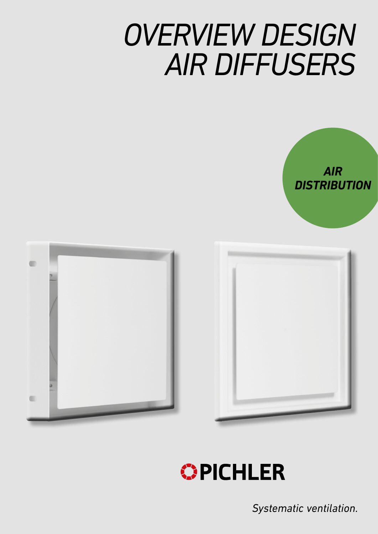# *OVERVIEW DESIGN AIR DIFFUSERS*









*Systematic ventilation.*